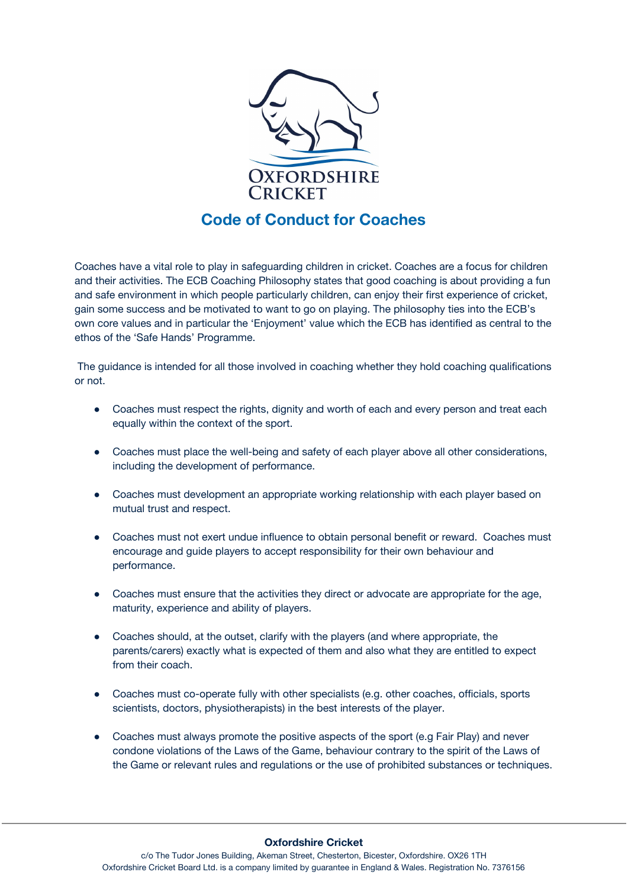

Coaches have a vital role to play in safeguarding children in cricket. Coaches are a focus for children and their activities. The ECB Coaching Philosophy states that good coaching is about providing a fun and safe environment in which people particularly children, can enjoy their first experience of cricket, gain some success and be motivated to want to go on playing. The philosophy ties into the ECB's own core values and in particular the 'Enjoyment' value which the ECB has identified as central to the ethos of the 'Safe Hands' Programme.

The guidance is intended for all those involved in coaching whether they hold coaching qualifications or not.

- Coaches must respect the rights, dignity and worth of each and every person and treat each equally within the context of the sport.
- Coaches must place the well-being and safety of each player above all other considerations, including the development of performance.
- Coaches must development an appropriate working relationship with each player based on mutual trust and respect.
- Coaches must not exert undue influence to obtain personal benefit or reward. Coaches must encourage and guide players to accept responsibility for their own behaviour and performance.
- Coaches must ensure that the activities they direct or advocate are appropriate for the age, maturity, experience and ability of players.
- Coaches should, at the outset, clarify with the players (and where appropriate, the parents/carers) exactly what is expected of them and also what they are entitled to expect from their coach.
- Coaches must co-operate fully with other specialists (e.g. other coaches, officials, sports scientists, doctors, physiotherapists) in the best interests of the player.
- Coaches must always promote the positive aspects of the sport (e.g Fair Play) and never condone violations of the Laws of the Game, behaviour contrary to the spirit of the Laws of the Game or relevant rules and regulations or the use of prohibited substances or techniques.

## **Oxfordshire Cricket**